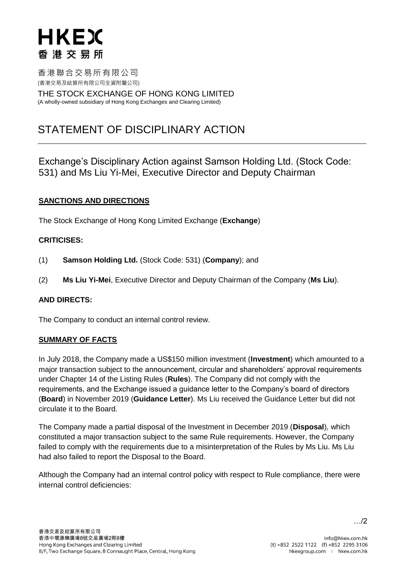# HKEX 香港交易所

香港聯合交易所有限公司 (香港交易及結算所有限公司全資附屬公司)

THE STOCK EXCHANGE OF HONG KONG LIMITED (A wholly-owned subsidiary of Hong Kong Exchanges and Clearing Limited)

# STATEMENT OF DISCIPLINARY ACTION

Exchange's Disciplinary Action against Samson Holding Ltd. (Stock Code: 531) and Ms Liu Yi-Mei, Executive Director and Deputy Chairman

# **SANCTIONS AND DIRECTIONS**

The Stock Exchange of Hong Kong Limited Exchange (**Exchange**)

# **CRITICISES:**

- (1) **Samson Holding Ltd.** (Stock Code: 531) (**Company**); and
- (2) **Ms Liu Yi-Mei**, Executive Director and Deputy Chairman of the Company (**Ms Liu**).

#### **AND DIRECTS:**

The Company to conduct an internal control review.

#### **SUMMARY OF FACTS**

In July 2018, the Company made a US\$150 million investment (**Investment**) which amounted to a major transaction subject to the announcement, circular and shareholders' approval requirements under Chapter 14 of the Listing Rules (**Rules**). The Company did not comply with the requirements, and the Exchange issued a guidance letter to the Company's board of directors (**Board**) in November 2019 (**Guidance Letter**). Ms Liu received the Guidance Letter but did not circulate it to the Board.

The Company made a partial disposal of the Investment in December 2019 (**Disposal**), which constituted a major transaction subject to the same Rule requirements. However, the Company failed to comply with the requirements due to a misinterpretation of the Rules by Ms Liu. Ms Liu had also failed to report the Disposal to the Board.

Although the Company had an internal control policy with respect to Rule compliance, there were internal control deficiencies: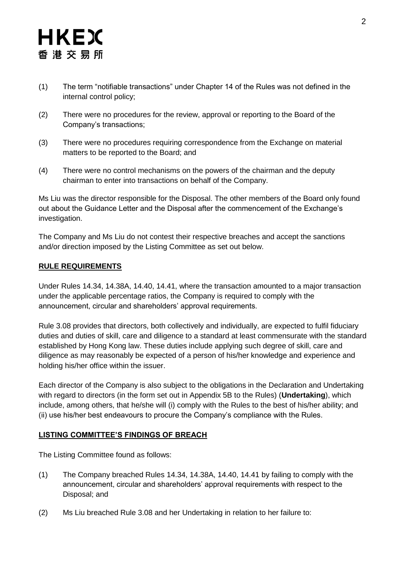# HKEX 香港交易所

- (1) The term "notifiable transactions" under Chapter 14 of the Rules was not defined in the internal control policy;
- (2) There were no procedures for the review, approval or reporting to the Board of the Company's transactions;
- (3) There were no procedures requiring correspondence from the Exchange on material matters to be reported to the Board; and
- (4) There were no control mechanisms on the powers of the chairman and the deputy chairman to enter into transactions on behalf of the Company.

Ms Liu was the director responsible for the Disposal. The other members of the Board only found out about the Guidance Letter and the Disposal after the commencement of the Exchange's investigation.

The Company and Ms Liu do not contest their respective breaches and accept the sanctions and/or direction imposed by the Listing Committee as set out below.

# **RULE REQUIREMENTS**

Under Rules 14.34, 14.38A, 14.40, 14.41, where the transaction amounted to a major transaction under the applicable percentage ratios, the Company is required to comply with the announcement, circular and shareholders' approval requirements.

Rule 3.08 provides that directors, both collectively and individually, are expected to fulfil fiduciary duties and duties of skill, care and diligence to a standard at least commensurate with the standard established by Hong Kong law. These duties include applying such degree of skill, care and diligence as may reasonably be expected of a person of his/her knowledge and experience and holding his/her office within the issuer.

Each director of the Company is also subject to the obligations in the Declaration and Undertaking with regard to directors (in the form set out in Appendix 5B to the Rules) (**Undertaking**), which include, among others, that he/she will (i) comply with the Rules to the best of his/her ability; and (ii) use his/her best endeavours to procure the Company's compliance with the Rules.

# **LISTING COMMITTEE'S FINDINGS OF BREACH**

The Listing Committee found as follows:

- (1) The Company breached Rules 14.34, 14.38A, 14.40, 14.41 by failing to comply with the announcement, circular and shareholders' approval requirements with respect to the Disposal; and
- (2) Ms Liu breached Rule 3.08 and her Undertaking in relation to her failure to: